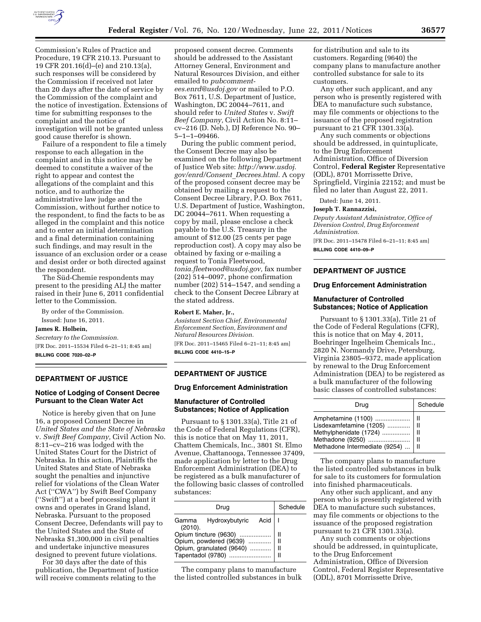

Commission's Rules of Practice and Procedure, 19 CFR 210.13. Pursuant to 19 CFR 201.16(d)–(e) and 210.13(a), such responses will be considered by the Commission if received not later than 20 days after the date of service by the Commission of the complaint and the notice of investigation. Extensions of time for submitting responses to the complaint and the notice of investigation will not be granted unless good cause therefor is shown.

Failure of a respondent to file a timely response to each allegation in the complaint and in this notice may be deemed to constitute a waiver of the right to appear and contest the allegations of the complaint and this notice, and to authorize the administrative law judge and the Commission, without further notice to the respondent, to find the facts to be as alleged in the complaint and this notice and to enter an initial determination and a final determination containing such findings, and may result in the issuance of an exclusion order or a cease and desist order or both directed against the respondent.

The Süd-Chemie respondents may present to the presiding ALJ the matter raised in their June 6, 2011 confidential letter to the Commission.

By order of the Commission. Issued: June 16, 2011.

#### **James R. Holbein,**

*Secretary to the Commission.*  [FR Doc. 2011–15534 Filed 6–21–11; 8:45 am] **BILLING CODE 7020–02–P** 

### **DEPARTMENT OF JUSTICE**

# **Notice of Lodging of Consent Decree Pursuant to the Clean Water Act**

Notice is hereby given that on June 16, a proposed Consent Decree in *United States and the State of Nebraska*  v. *Swift Beef Company,* Civil Action No. 8:11–cv–216 was lodged with the United States Court for the District of Nebraska. In this action, Plaintiffs the United States and State of Nebraska sought the penalties and injunctive relief for violations of the Clean Water Act (''CWA'') by Swift Beef Company (''Swift'') at a beef processing plant it owns and operates in Grand Island, Nebraska. Pursuant to the proposed Consent Decree, Defendants will pay to the United States and the State of Nebraska \$1,300,000 in civil penalties and undertake injunctive measures designed to prevent future violations.

For 30 days after the date of this publication, the Department of Justice will receive comments relating to the

proposed consent decree. Comments should be addressed to the Assistant Attorney General, Environment and Natural Resources Division, and either emailed to *[pubcomment](mailto:pubcomment-ees.enrd@usdoj.gov)[ees.enrd@usdoj.gov](mailto:pubcomment-ees.enrd@usdoj.gov)* or mailed to P.O. Box 7611, U.S. Department of Justice, Washington, DC 20044–7611, and should refer to *United States* v. *Swift Beef Company,* Civil Action No. 8:11– cv–216 (D. Neb.), DJ Reference No. 90– 5–1–1–09466.

During the public comment period, the Consent Decree may also be examined on the following Department of Justice Web site: *[http://www.usdoj.](http://www.usdoj.gov/enrd/Consent_Decrees.html) [gov/enrd/Consent](http://www.usdoj.gov/enrd/Consent_Decrees.html)*\_*Decrees.html.* A copy of the proposed consent decree may be obtained by mailing a request to the Consent Decree Library, P.O. Box 7611, U.S. Department of Justice, Washington, DC 20044–7611. When requesting a copy by mail, please enclose a check payable to the U.S. Treasury in the amount of \$12.00 (25 cents per page reproduction cost). A copy may also be obtained by faxing or e-mailing a request to Tonia Fleetwood, *[tonia.fleetwood@usdoj.gov,](mailto:tonia.fleetwood@usdoj.gov)* fax number (202) 514–0097, phone confirmation number (202) 514–1547, and sending a check to the Consent Decree Library at the stated address.

#### **Robert E. Maher, Jr.,**

*Assistant Section Chief, Environmental Enforcement Section, Environment and Natural Resources Division.* 

[FR Doc. 2011–15465 Filed 6–21–11; 8:45 am] **BILLING CODE 4410–15–P** 

# **DEPARTMENT OF JUSTICE**

### **Drug Enforcement Administration**

# **Manufacturer of Controlled Substances; Notice of Application**

Pursuant to § 1301.33(a), Title 21 of the Code of Federal Regulations (CFR), this is notice that on May 11, 2011, Chattem Chemicals, Inc., 3801 St. Elmo Avenue, Chattanooga, Tennessee 37409, made application by letter to the Drug Enforcement Administration (DEA) to be registered as a bulk manufacturer of the following basic classes of controlled substances:

| Drug                                      | Schedule |
|-------------------------------------------|----------|
| Hydroxybutyric Acid I<br>Gamma<br>(2010). |          |
| Opium tincture (9630)                     |          |
| Opium, powdered (9639)                    | н        |
| Opium, granulated (9640)                  | н        |
| Tapentadol (9780)                         | н        |

The company plans to manufacture the listed controlled substances in bulk

for distribution and sale to its customers. Regarding (9640) the company plans to manufacture another controlled substance for sale to its customers.

Any other such applicant, and any person who is presently registered with DEA to manufacture such substance, may file comments or objections to the issuance of the proposed registration pursuant to 21 CFR 1301.33(a).

Any such comments or objections should be addressed, in quintuplicate, to the Drug Enforcement Administration, Office of Diversion Control, **Federal Register** Representative (ODL), 8701 Morrissette Drive, Springfield, Virginia 22152; and must be filed no later than August 22, 2011.

Dated: June 14, 2011.

#### **Joseph T. Rannazzisi,**

*Deputy Assistant Administrator, Office of Diversion Control, Drug Enforcement Administration.* 

[FR Doc. 2011–15478 Filed 6–21–11; 8:45 am] **BILLING CODE 4410–09–P** 

# **DEPARTMENT OF JUSTICE**

#### **Drug Enforcement Administration**

### **Manufacturer of Controlled Substances; Notice of Application**

Pursuant to § 1301.33(a), Title 21 of the Code of Federal Regulations (CFR), this is notice that on May 4, 2011, Boehringer Ingelheim Chemicals Inc., 2820 N. Normandy Drive, Petersburg, Virginia 23805–9372, made application by renewal to the Drug Enforcement Administration (DEA) to be registered as a bulk manufacturer of the following basic classes of controlled substances:

| Drug                                                                                                                             | Schedule |
|----------------------------------------------------------------------------------------------------------------------------------|----------|
| Amphetamine (1100)    II<br>Lisdexamfetamine (1205)    II<br>Methylphenidate (1724)    II<br>Methadone Intermediate (9254)    II |          |

The company plans to manufacture the listed controlled substances in bulk for sale to its customers for formulation into finished pharmaceuticals.

Any other such applicant, and any person who is presently registered with DEA to manufacture such substances, may file comments or objections to the issuance of the proposed registration pursuant to 21 CFR 1301.33(a).

Any such comments or objections should be addressed, in quintuplicate, to the Drug Enforcement Administration, Office of Diversion Control, Federal Register Representative (ODL), 8701 Morrissette Drive,